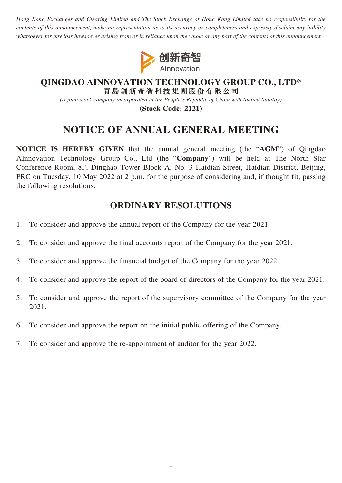*Hong Kong Exchanges and Clearing Limited and The Stock Exchange of Hong Kong Limited take no responsibility for the contents of this announcement, make no representation as to its accuracy or completeness and expressly disclaim any liability whatsoever for any loss howsoever arising from or in reliance upon the whole or any part of the contents of this announcement.*



### **QINGDAO AINNOVATION TECHNOLOGY GROUP CO., LTD\* 青島創新奇智科技集團股份有限公司**

*(A joint stock company incorporated in the People's Republic of China with limited liability)*

**(Stock Code: 2121)**

# **NOTICE OF ANNUAL GENERAL MEETING**

**NOTICE IS HEREBY GIVEN** that the annual general meeting (the "**AGM**") of Qingdao AInnovation Technology Group Co., Ltd (the "**Company**") will be held at The North Star Conference Room, 8F, Dinghao Tower Block A, No. 3 Haidian Street, Haidian District, Beijing, PRC on Tuesday, 10 May 2022 at 2 p.m. for the purpose of considering and, if thought fit, passing the following resolutions:

## **ORDINARY RESOLUTIONS**

- 1. To consider and approve the annual report of the Company for the year 2021.
- 2. To consider and approve the final accounts report of the Company for the year 2021.
- 3. To consider and approve the financial budget of the Company for the year 2022.
- 4. To consider and approve the report of the board of directors of the Company for the year 2021.
- 5. To consider and approve the report of the supervisory committee of the Company for the year 2021.
- 6. To consider and approve the report on the initial public offering of the Company.
- 7. To consider and approve the re-appointment of auditor for the year 2022.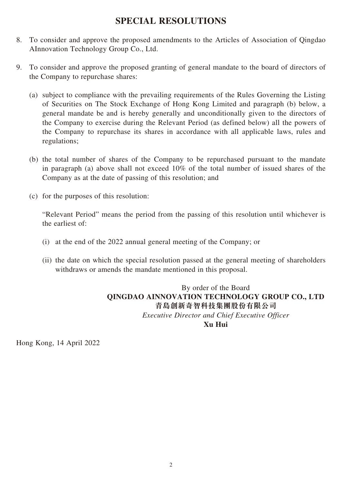### **SPECIAL RESOLUTIONS**

- 8. To consider and approve the proposed amendments to the Articles of Association of Qingdao AInnovation Technology Group Co., Ltd.
- 9. To consider and approve the proposed granting of general mandate to the board of directors of the Company to repurchase shares:
	- (a) subject to compliance with the prevailing requirements of the Rules Governing the Listing of Securities on The Stock Exchange of Hong Kong Limited and paragraph (b) below, a general mandate be and is hereby generally and unconditionally given to the directors of the Company to exercise during the Relevant Period (as defined below) all the powers of the Company to repurchase its shares in accordance with all applicable laws, rules and regulations;
	- (b) the total number of shares of the Company to be repurchased pursuant to the mandate in paragraph (a) above shall not exceed 10% of the total number of issued shares of the Company as at the date of passing of this resolution; and
	- (c) for the purposes of this resolution:

"Relevant Period" means the period from the passing of this resolution until whichever is the earliest of:

- (i) at the end of the 2022 annual general meeting of the Company; or
- (ii) the date on which the special resolution passed at the general meeting of shareholders withdraws or amends the mandate mentioned in this proposal.

By order of the Board **QINGDAO AINNOVATION TECHNOLOGY GROUP CO., LTD 青島創新奇智科技集團股份有限公司** *Executive Director and Chief Executive Officer* **Xu Hui**

Hong Kong, 14 April 2022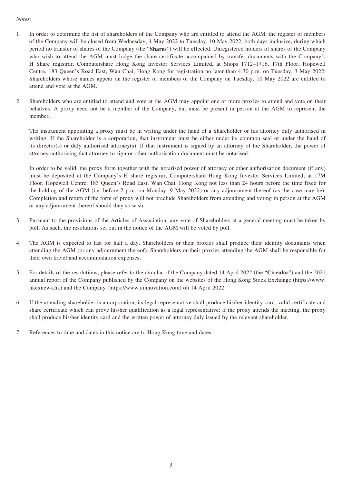#### *Notes:*

- 1. In order to determine the list of shareholders of the Company who are entitled to attend the AGM, the register of members of the Company will be closed from Wednesday, 4 May 2022 to Tuesday, 10 May 2022, both days inclusive, during which period no transfer of shares of the Company (the "**Shares**") will be effected. Unregistered holders of shares of the Company who wish to attend the AGM must lodge the share certificate accompanied by transfer documents with the Company's H Share registrar, Computershare Hong Kong Investor Services Limited, at Shops 1712–1716, 17th Floor, Hopewell Centre, 183 Queen's Road East, Wan Chai, Hong Kong for registration no later than 4:30 p.m. on Tuesday, 3 May 2022. Shareholders whose names appear on the register of members of the Company on Tuesday, 10 May 2022 are entitled to attend and vote at the AGM.
- 2. Shareholders who are entitled to attend and vote at the AGM may appoint one or more proxies to attend and vote on their behalves. A proxy need not be a member of the Company, but must be present in person at the AGM to represent the member.

The instrument appointing a proxy must be in writing under the hand of a Shareholder or his attorney duly authorised in writing. If the Shareholder is a corporation, that instrument must be either under its common seal or under the hand of its director(s) or duly authorised attorney(s). If that instrument is signed by an attorney of the Shareholder, the power of attorney authorising that attorney to sign or other authorisation document must be notarised.

In order to be valid, the proxy form together with the notarised power of attorney or other authorisation document (if any) must be deposited at the Company's H share registrar, Computershare Hong Kong Investor Services Limited, at 17M Floor, Hopewell Centre, 183 Queen's Road East, Wan Chai, Hong Kong not less than 24 hours before the time fixed for the holding of the AGM (i.e. before 2 p.m. on Monday, 9 May 2022) or any adjournment thereof (as the case may be). Completion and return of the form of proxy will not preclude Shareholders from attending and voting in person at the AGM or any adjournment thereof should they so wish.

- 3. Pursuant to the provisions of the Articles of Association, any vote of Shareholders at a general meeting must be taken by poll. As such, the resolutions set out in the notice of the AGM will be voted by poll.
- 4. The AGM is expected to last for half a day. Shareholders or their proxies shall produce their identity documents when attending the AGM (or any adjournment thereof). Shareholders or their proxies attending the AGM shall be responsible for their own travel and accommodation expenses.
- 5. For details of the resolutions, please refer to the circular of the Company dated 14 April 2022 (the "**Circular**") and the 2021 annual report of the Company published by the Company on the websites of the Hong Kong Stock Exchange (https://www. hkexnews.hk) and the Company (https://www.ainnovation.com) on 14 April 2022.
- 6. If the attending shareholder is a corporation, its legal representative shall produce his/her identity card, valid certificate and share certificate which can prove his/her qualification as a legal representative; if the proxy attends the meeting, the proxy shall produce his/her identity card and the written power of attorney duly issued by the relevant shareholder.
- 7. References to time and dates in this notice are to Hong Kong time and dates.